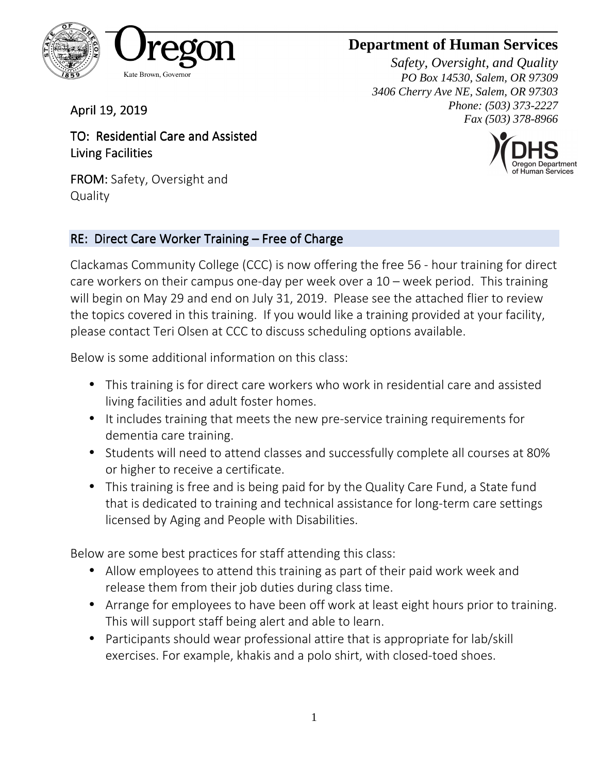

# **Department of Human Services**

*Safety, Oversight, and Quality PO Box 14530, Salem, OR 97309 3406 Cherry Ave NE, Salem, OR 97303 Phone: (503) 373-2227 Fax (503) 378-8966*



April 19, 2019

TO: Residential Care and Assisted Living Facilities

FROM: Safety, Oversight and **Quality** 

#### RE: Direct Care Worker Training – Free of Charge

Clackamas Community College (CCC) is now offering the free 56 - hour training for direct care workers on their campus one-day per week over a 10 – week period. This training will begin on May 29 and end on July 31, 2019. Please see the attached flier to review the topics covered in this training. If you would like a training provided at your facility, please contact Teri Olsen at CCC to discuss scheduling options available.

Below is some additional information on this class:

- This training is for direct care workers who work in residential care and assisted living facilities and adult foster homes.
- It includes training that meets the new pre-service training requirements for dementia care training.
- Students will need to attend classes and successfully complete all courses at 80% or higher to receive a certificate.
- This training is free and is being paid for by the Quality Care Fund, a State fund that is dedicated to training and technical assistance for long-term care settings licensed by Aging and People with Disabilities.

Below are some best practices for staff attending this class:

- Allow employees to attend this training as part of their paid work week and release them from their job duties during class time.
- Arrange for employees to have been off work at least eight hours prior to training. This will support staff being alert and able to learn.
- Participants should wear professional attire that is appropriate for lab/skill exercises. For example, khakis and a polo shirt, with closed-toed shoes.